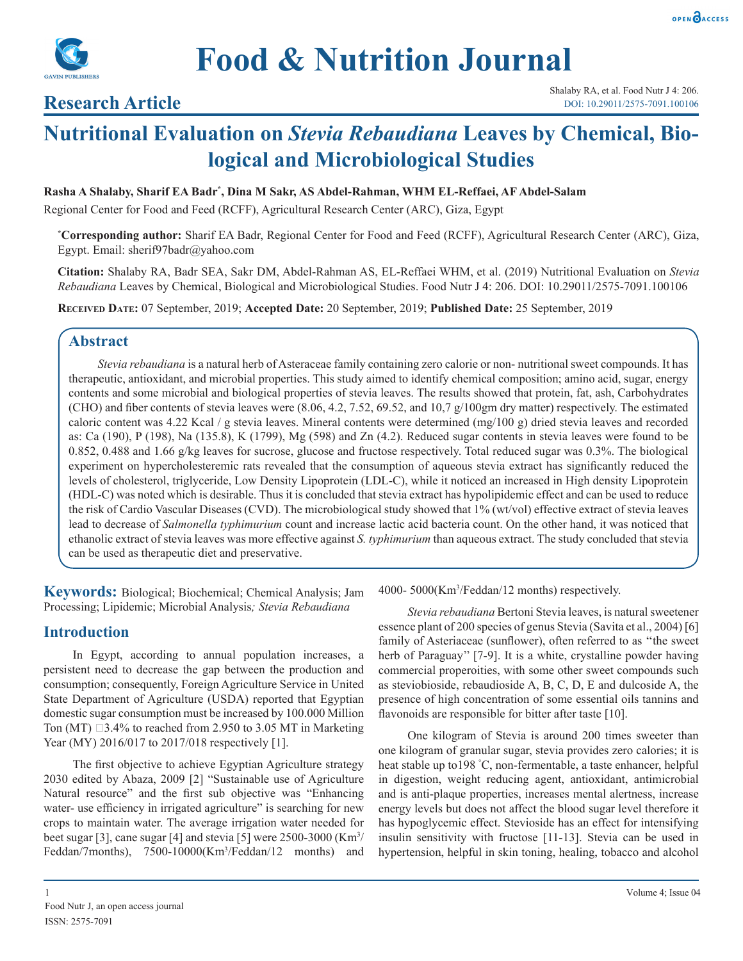



## **Research Article**

# **Nutritional Evaluation on** *Stevia Rebaudiana* **Leaves by Chemical, Biological and Microbiological Studies**

#### **Rasha A Shalaby, Sharif EA Badr\* , Dina M Sakr, AS Abdel-Rahman, WHM EL-Reffaei, AF Abdel-Salam**

Regional Center for Food and Feed (RCFF), Agricultural Research Center (ARC), Giza, Egypt

**\* Corresponding author:** Sharif EA Badr, Regional Center for Food and Feed (RCFF), Agricultural Research Center (ARC), Giza, Egypt. Email: sherif97badr@yahoo.com

**Citation:** Shalaby RA, Badr SEA, Sakr DM, Abdel-Rahman AS, EL-Reffaei WHM, et al. (2019) Nutritional Evaluation on *Stevia Rebaudiana* Leaves by Chemical, Biological and Microbiological Studies. Food Nutr J 4: 206. DOI: 10.29011/2575-7091.100106

**Received date:** 07 September, 2019; **Accepted Date:** 20 September, 2019; **Published Date:** 25 September, 2019

## **Abstract**

*Stevia rebaudiana* is a natural herb of Asteraceae family containing zero calorie or non- nutritional sweet compounds. It has therapeutic, antioxidant, and microbial properties. This study aimed to identify chemical composition; amino acid, sugar, energy contents and some microbial and biological properties of stevia leaves. The results showed that protein, fat, ash, Carbohydrates (CHO) and fiber contents of stevia leaves were (8.06, 4.2, 7.52, 69.52, and 10,7 g/100gm dry matter) respectively. The estimated caloric content was 4.22 Kcal / g stevia leaves. Mineral contents were determined (mg/100 g) dried stevia leaves and recorded as: Ca (190), P (198), Na (135.8), K (1799), Mg (598) and Zn (4.2). Reduced sugar contents in stevia leaves were found to be 0.852, 0.488 and 1.66 g/kg leaves for sucrose, glucose and fructose respectively. Total reduced sugar was 0.3%. The biological experiment on hypercholesteremic rats revealed that the consumption of aqueous stevia extract has significantly reduced the levels of cholesterol, triglyceride, Low Density Lipoprotein (LDL-C), while it noticed an increased in High density Lipoprotein (HDL-C) was noted which is desirable. Thus it is concluded that stevia extract has hypolipidemic effect and can be used to reduce the risk of Cardio Vascular Diseases (CVD). The microbiological study showed that 1% (wt/vol) effective extract of stevia leaves lead to decrease of *Salmonella typhimurium* count and increase lactic acid bacteria count. On the other hand, it was noticed that ethanolic extract of stevia leaves was more effective against *S. typhimurium* than aqueous extract. The study concluded that stevia can be used as therapeutic diet and preservative.

**Keywords:** Biological; Biochemical; Chemical Analysis; Jam Processing; Lipidemic; Microbial Analysis*; Stevia Rebaudiana*

## **Introduction**

In Egypt, according to annual population increases, a persistent need to decrease the gap between the production and consumption; consequently, Foreign Agriculture Service in United State Department of Agriculture (USDA) reported that Egyptian domestic sugar consumption must be increased by 100.000 Million Ton (MT)  $\Box$ 3.4% to reached from 2.950 to 3.05 MT in Marketing Year (MY) 2016/017 to 2017/018 respectively [1].

The first objective to achieve Egyptian Agriculture strategy 2030 edited by Abaza, 2009 [2] "Sustainable use of Agriculture Natural resource" and the first sub objective was "Enhancing water- use efficiency in irrigated agriculture" is searching for new crops to maintain water. The average irrigation water needed for beet sugar [3], cane sugar [4] and stevia [5] were  $2500 - 3000$  (Km<sup>3</sup>/ Feddan/7months), 7500-10000(Km<sup>3</sup>/Feddan/12 months) and 4000- 5000(Km3 /Feddan/12 months) respectively.

*Stevia rebaudiana* Bertoni Stevia leaves, is natural sweetener essence plant of 200 species of genus Stevia (Savita et al., 2004) [6] family of Asteriaceae (sunflower), often referred to as ''the sweet herb of Paraguay'' [7-9]. It is a white, crystalline powder having commercial properoities, with some other sweet compounds such as steviobioside, rebaudioside A, B, C, D, E and dulcoside A, the presence of high concentration of some essential oils tannins and flavonoids are responsible for bitter after taste [10].

One kilogram of Stevia is around 200 times sweeter than one kilogram of granular sugar, stevia provides zero calories; it is heat stable up to198 ° C, non-fermentable, a taste enhancer, helpful in digestion, weight reducing agent, antioxidant, antimicrobial and is anti-plaque properties, increases mental alertness, increase energy levels but does not affect the blood sugar level therefore it has hypoglycemic effect. Stevioside has an effect for intensifying insulin sensitivity with fructose [11-13]. Stevia can be used in hypertension, helpful in skin toning, healing, tobacco and alcohol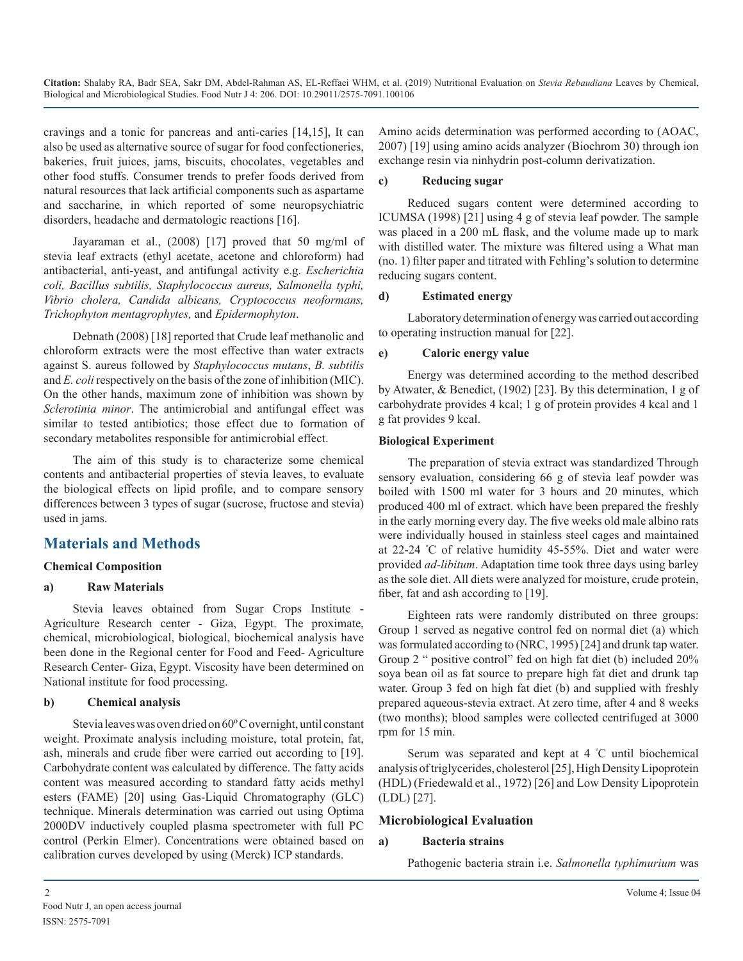cravings and a tonic for pancreas and anti-caries [14,15], It can also be used as alternative source of sugar for food confectioneries, bakeries, fruit juices, jams, biscuits, chocolates, vegetables and other food stuffs. Consumer trends to prefer foods derived from natural resources that lack artificial components such as aspartame and saccharine, in which reported of some neuropsychiatric disorders, headache and dermatologic reactions [16].

Jayaraman et al., (2008) [17] proved that 50 mg/ml of stevia leaf extracts (ethyl acetate, acetone and chloroform) had antibacterial, anti-yeast, and antifungal activity e.g. *Escherichia coli, Bacillus subtilis, Staphylococcus aureus, Salmonella typhi, Vibrio cholera, Candida albicans, Cryptococcus neoformans, Trichophyton mentagrophytes,* and *Epidermophyton*.

Debnath (2008) [18] reported that Crude leaf methanolic and chloroform extracts were the most effective than water extracts against S. aureus followed by *Staphylococcus mutans*, *B. subtilis* and *E. coli* respectively on the basis of the zone of inhibition (MIC). On the other hands, maximum zone of inhibition was shown by *Sclerotinia minor*. The antimicrobial and antifungal effect was similar to tested antibiotics; those effect due to formation of secondary metabolites responsible for antimicrobial effect.

The aim of this study is to characterize some chemical contents and antibacterial properties of stevia leaves, to evaluate the biological effects on lipid profile, and to compare sensory differences between 3 types of sugar (sucrose, fructose and stevia) used in jams.

## **Materials and Methods**

## **Chemical Composition**

## **a) Raw Materials**

Stevia leaves obtained from Sugar Crops Institute - Agriculture Research center - Giza, Egypt. The proximate, chemical, microbiological, biological, biochemical analysis have been done in the Regional center for Food and Feed- Agriculture Research Center- Giza, Egypt. Viscosity have been determined on National institute for food processing.

## **b) Chemical analysis**

Stevia leaves was oven dried on 60º C overnight, until constant weight. Proximate analysis including moisture, total protein, fat, ash, minerals and crude fiber were carried out according to [19]. Carbohydrate content was calculated by difference. The fatty acids content was measured according to standard fatty acids methyl esters (FAME) [20] using Gas-Liquid Chromatography (GLC) technique. Minerals determination was carried out using Optima 2000DV inductively coupled plasma spectrometer with full PC control (Perkin Elmer). Concentrations were obtained based on calibration curves developed by using (Merck) ICP standards.

Amino acids determination was performed according to (AOAC, 2007) [19] using amino acids analyzer (Biochrom 30) through ion exchange resin via ninhydrin post-column derivatization.

#### **c) Reducing sugar**

Reduced sugars content were determined according to ICUMSA (1998) [21] using 4 g of stevia leaf powder. The sample was placed in a 200 mL flask, and the volume made up to mark with distilled water. The mixture was filtered using a What man (no. 1) filter paper and titrated with Fehling's solution to determine reducing sugars content.

#### **d) Estimated energy**

Laboratory determination of energy was carried out according to operating instruction manual for [22].

#### **e) Caloric energy value**

Energy was determined according to the method described by Atwater, & Benedict, (1902) [23]. By this determination, 1 g of carbohydrate provides 4 kcal; 1 g of protein provides 4 kcal and 1 g fat provides 9 kcal.

#### **Biological Experiment**

The preparation of stevia extract was standardized Through sensory evaluation, considering 66 g of stevia leaf powder was boiled with 1500 ml water for 3 hours and 20 minutes, which produced 400 ml of extract. which have been prepared the freshly in the early morning every day. The five weeks old male albino rats were individually housed in stainless steel cages and maintained at 22-24 º C of relative humidity 45-55%. Diet and water were provided *ad-libitum*. Adaptation time took three days using barley as the sole diet. All diets were analyzed for moisture, crude protein, fiber, fat and ash according to [19].

Eighteen rats were randomly distributed on three groups: Group 1 served as negative control fed on normal diet (a) which was formulated according to (NRC, 1995) [24] and drunk tap water. Group 2 " positive control" fed on high fat diet (b) included 20% soya bean oil as fat source to prepare high fat diet and drunk tap water. Group 3 fed on high fat diet (b) and supplied with freshly prepared aqueous-stevia extract. At zero time, after 4 and 8 weeks (two months); blood samples were collected centrifuged at 3000 rpm for 15 min.

Serum was separated and kept at 4 º C until biochemical analysis of triglycerides, cholesterol [25], High Density Lipoprotein (HDL) (Friedewald et al., 1972) [26] and Low Density Lipoprotein (LDL) [27].

## **Microbiological Evaluation**

#### **a) Bacteria strains**

Pathogenic bacteria strain i.e. *Salmonella typhimurium* was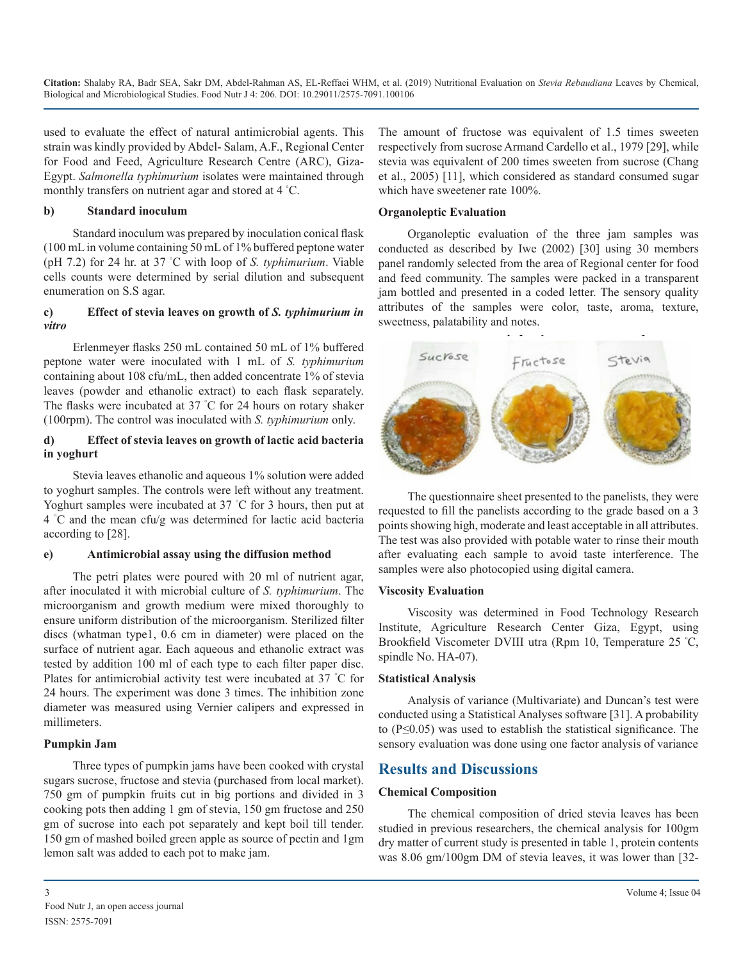used to evaluate the effect of natural antimicrobial agents. This strain was kindly provided by Abdel- Salam, A.F., Regional Center for Food and Feed, Agriculture Research Centre (ARC), Giza-Egypt. *Salmonella typhimurium* isolates were maintained through monthly transfers on nutrient agar and stored at 4 ° C.

#### **b) Standard inoculum**

Standard inoculum was prepared by inoculation conical flask (100 mL in volume containing 50 mL of 1% buffered peptone water (pH 7.2) for 24 hr. at 37 ° C with loop of *S. typhimurium*. Viable cells counts were determined by serial dilution and subsequent enumeration on S.S agar.

#### **c) Effect of stevia leaves on growth of** *S. typhimurium in vitro*

Erlenmeyer flasks 250 mL contained 50 mL of 1% buffered peptone water were inoculated with 1 mL of *S. typhimurium* containing about 108 cfu/mL, then added concentrate 1% of stevia leaves (powder and ethanolic extract) to each flask separately. The flasks were incubated at 37 ° C for 24 hours on rotary shaker (100rpm). The control was inoculated with *S. typhimurium* only.

#### **d) Effect of stevia leaves on growth of lactic acid bacteria in yoghurt**

Stevia leaves ethanolic and aqueous 1% solution were added to yoghurt samples. The controls were left without any treatment. Yoghurt samples were incubated at 37 ° C for 3 hours, then put at 4 ° C and the mean cfu/g was determined for lactic acid bacteria according to [28].

#### **e) Antimicrobial assay using the diffusion method**

The petri plates were poured with 20 ml of nutrient agar, after inoculated it with microbial culture of *S. typhimurium*. The microorganism and growth medium were mixed thoroughly to ensure uniform distribution of the microorganism. Sterilized filter discs (whatman type1, 0.6 cm in diameter) were placed on the surface of nutrient agar. Each aqueous and ethanolic extract was tested by addition 100 ml of each type to each filter paper disc. Plates for antimicrobial activity test were incubated at 37 ° C for 24 hours. The experiment was done 3 times. The inhibition zone diameter was measured using Vernier calipers and expressed in millimeters.

#### **Pumpkin Jam**

Three types of pumpkin jams have been cooked with crystal sugars sucrose, fructose and stevia (purchased from local market). 750 gm of pumpkin fruits cut in big portions and divided in 3 cooking pots then adding 1 gm of stevia, 150 gm fructose and 250 gm of sucrose into each pot separately and kept boil till tender. 150 gm of mashed boiled green apple as source of pectin and 1gm lemon salt was added to each pot to make jam.

The amount of fructose was equivalent of 1.5 times sweeten respectively from sucrose Armand Cardello et al., 1979 [29], while stevia was equivalent of 200 times sweeten from sucrose (Chang et al., 2005) [11], which considered as standard consumed sugar which have sweetener rate 100%.

#### **Organoleptic Evaluation**

Organoleptic evaluation of the three jam samples was conducted as described by Iwe (2002) [30] using 30 members panel randomly selected from the area of Regional center for food and feed community. The samples were packed in a transparent jam bottled and presented in a coded letter. The sensory quality attributes of the samples were color, taste, aroma, texture, sweetness, palatability and notes.



The questionnaire sheet presented to the panelists, they were requested to fill the panelists according to the grade based on a 3 points showing high, moderate and least acceptable in all attributes. The test was also provided with potable water to rinse their mouth after evaluating each sample to avoid taste interference. The samples were also photocopied using digital camera.

#### **Viscosity Evaluation**

Viscosity was determined in Food Technology Research Institute, Agriculture Research Center Giza, Egypt, using Brookfield Viscometer DVIII utra (Rpm 10, Temperature 25 <sup>º</sup> C, spindle No. HA-07).

#### **Statistical Analysis**

Analysis of variance (Multivariate) and Duncan's test were conducted using a Statistical Analyses software [31]. A probability to (P≤0.05) was used to establish the statistical significance. The sensory evaluation was done using one factor analysis of variance

## **Results and Discussions**

#### **Chemical Composition**

The chemical composition of dried stevia leaves has been studied in previous researchers, the chemical analysis for 100gm dry matter of current study is presented in table 1, protein contents was 8.06 gm/100gm DM of stevia leaves, it was lower than [32-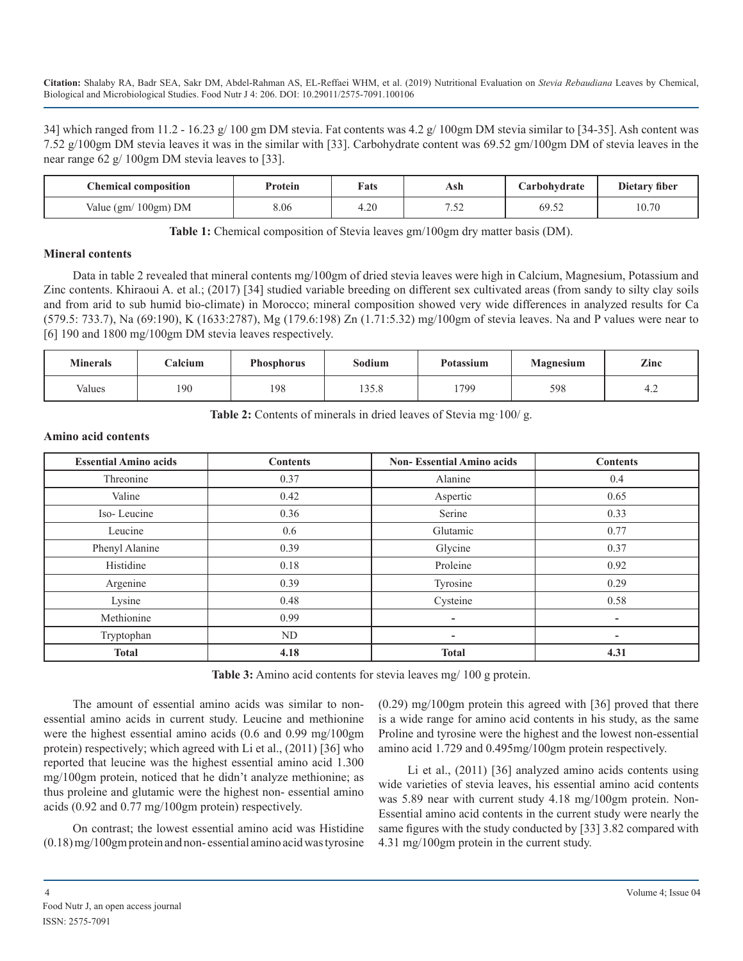34] which ranged from 11.2 - 16.23 g/ 100 gm DM stevia. Fat contents was 4.2 g/ 100gm DM stevia similar to [34-35]. Ash content was 7.52 g/100gm DM stevia leaves it was in the similar with [33]. Carbohydrate content was 69.52 gm/100gm DM of stevia leaves in the near range 62 g/ 100gm DM stevia leaves to [33].

| <b>Chemical composition</b> | Protein | <b>Fats</b>      | Ash            | Carbohydrate | Dietary fiber |
|-----------------------------|---------|------------------|----------------|--------------|---------------|
| $100gm)$ DM<br>Value $(gm)$ | 8.06    | $\cap$<br>∙ ∠. ۳ | ר בי<br>ے بی ا | 69.52        | 10.70         |

**Table 1:** Chemical composition of Stevia leaves gm/100gm dry matter basis (DM).

#### **Mineral contents**

Data in table 2 revealed that mineral contents mg/100gm of dried stevia leaves were high in Calcium, Magnesium, Potassium and Zinc contents. Khiraoui A. et al.; (2017) [34] studied variable breeding on different sex cultivated areas (from sandy to silty clay soils and from arid to sub humid bio-climate) in Morocco; mineral composition showed very wide differences in analyzed results for Ca (579.5: 733.7), Na (69:190), K (1633:2787), Mg (179.6:198) Zn (1.71:5.32) mg/100gm of stevia leaves. Na and P values were near to [6] 190 and 1800 mg/100gm DM stevia leaves respectively.

| <b>Minerals</b> | Calcium | <b>Phosphorus</b> | Sodium       | <b>Potassium</b> | <b>Magnesium</b> | Zinc |
|-----------------|---------|-------------------|--------------|------------------|------------------|------|
| Values          | 190     | 198               | 358<br>199.8 | 1799             | 598              | т.∠  |

Table 2: Contents of minerals in dried leaves of Stevia mg 100/g.

#### **Amino acid contents**

| <b>Essential Amino acids</b> | <b>Contents</b> | <b>Non-Essential Amino acids</b> | <b>Contents</b>          |
|------------------------------|-----------------|----------------------------------|--------------------------|
| Threonine                    | 0.37            | Alanine                          | 0.4                      |
| Valine                       | 0.42            | Aspertic                         | 0.65                     |
| Iso-Leucine                  | 0.36            | Serine                           | 0.33                     |
| Leucine                      | 0.6             | Glutamic                         | 0.77                     |
| Phenyl Alanine               | 0.39            | Glycine                          | 0.37                     |
| Histidine                    | 0.18            | Proleine                         | 0.92                     |
| Argenine                     | 0.39            | Tyrosine                         | 0.29                     |
| Lysine                       | 0.48            | Cysteine                         | 0.58                     |
| Methionine                   | 0.99            |                                  | $\overline{\phantom{a}}$ |
| Tryptophan                   | ND              | $\overline{\phantom{0}}$         | ۰.                       |
| <b>Total</b>                 | 4.18            | <b>Total</b>                     | 4.31                     |

**Table 3:** Amino acid contents for stevia leaves mg/ 100 g protein.

The amount of essential amino acids was similar to nonessential amino acids in current study. Leucine and methionine were the highest essential amino acids (0.6 and 0.99 mg/100gm protein) respectively; which agreed with Li et al., (2011) [36] who reported that leucine was the highest essential amino acid 1.300 mg/100gm protein, noticed that he didn't analyze methionine; as thus proleine and glutamic were the highest non- essential amino acids (0.92 and 0.77 mg/100gm protein) respectively.

On contrast; the lowest essential amino acid was Histidine (0.18) mg/100gm protein and non- essential amino acid was tyrosine (0.29) mg/100gm protein this agreed with [36] proved that there is a wide range for amino acid contents in his study, as the same Proline and tyrosine were the highest and the lowest non-essential amino acid 1.729 and 0.495mg/100gm protein respectively.

Li et al., (2011) [36] analyzed amino acids contents using wide varieties of stevia leaves, his essential amino acid contents was 5.89 near with current study 4.18 mg/100gm protein. Non-Essential amino acid contents in the current study were nearly the same figures with the study conducted by [33] 3.82 compared with 4.31 mg/100gm protein in the current study.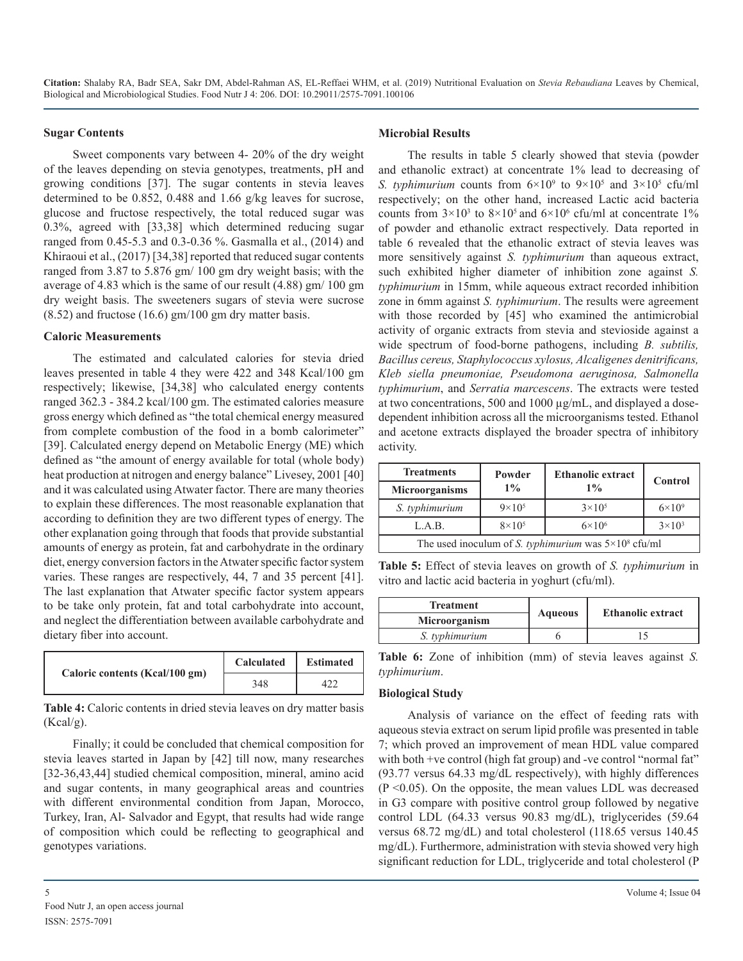#### **Sugar Contents**

Sweet components vary between 4- 20% of the dry weight of the leaves depending on stevia genotypes, treatments, pH and growing conditions [37]. The sugar contents in stevia leaves determined to be 0.852, 0.488 and 1.66 g/kg leaves for sucrose, glucose and fructose respectively, the total reduced sugar was 0.3%, agreed with [33,38] which determined reducing sugar ranged from 0.45-5.3 and 0.3-0.36 %. Gasmalla et al., (2014) and Khiraoui et al., (2017) [34,38] reported that reduced sugar contents ranged from 3.87 to 5.876 gm/ 100 gm dry weight basis; with the average of 4.83 which is the same of our result (4.88) gm/ 100 gm dry weight basis. The sweeteners sugars of stevia were sucrose (8.52) and fructose (16.6) gm/100 gm dry matter basis.

#### **Caloric Measurements**

The estimated and calculated calories for stevia dried leaves presented in table 4 they were 422 and 348 Kcal/100 gm respectively; likewise, [34,38] who calculated energy contents ranged 362.3 - 384.2 kcal/100 gm. The estimated calories measure gross energy which defined as "the total chemical energy measured from complete combustion of the food in a bomb calorimeter" [39]. Calculated energy depend on Metabolic Energy (ME) which defined as "the amount of energy available for total (whole body) heat production at nitrogen and energy balance" Livesey, 2001 [40] and it was calculated using Atwater factor. There are many theories to explain these differences. The most reasonable explanation that according to definition they are two different types of energy. The other explanation going through that foods that provide substantial amounts of energy as protein, fat and carbohydrate in the ordinary diet, energy conversion factors in the Atwater specific factor system varies. These ranges are respectively, 44, 7 and 35 percent [41]. The last explanation that Atwater specific factor system appears to be take only protein, fat and total carbohydrate into account, and neglect the differentiation between available carbohydrate and dietary fiber into account.

| Caloric contents (Kcal/100 gm) | Calculated | <b>Estimated</b> |  |
|--------------------------------|------------|------------------|--|
|                                | 348        |                  |  |

**Table 4:** Caloric contents in dried stevia leaves on dry matter basis (Kcal/g).

Finally; it could be concluded that chemical composition for stevia leaves started in Japan by [42] till now, many researches [32-36,43,44] studied chemical composition, mineral, amino acid and sugar contents, in many geographical areas and countries with different environmental condition from Japan, Morocco, Turkey, Iran, Al- Salvador and Egypt, that results had wide range of composition which could be reflecting to geographical and genotypes variations.

#### **Microbial Results**

The results in table 5 clearly showed that stevia (powder and ethanolic extract) at concentrate 1% lead to decreasing of *S. typhimurium* counts from  $6 \times 10^9$  to  $9 \times 10^5$  and  $3 \times 10^5$  cfu/ml respectively; on the other hand, increased Lactic acid bacteria counts from  $3 \times 10^3$  to  $8 \times 10^5$  and  $6 \times 10^6$  cfu/ml at concentrate 1% of powder and ethanolic extract respectively. Data reported in table 6 revealed that the ethanolic extract of stevia leaves was more sensitively against *S. typhimurium* than aqueous extract, such exhibited higher diameter of inhibition zone against *S. typhimurium* in 15mm, while aqueous extract recorded inhibition zone in 6mm against *S. typhimurium*. The results were agreement with those recorded by [45] who examined the antimicrobial activity of organic extracts from stevia and stevioside against a wide spectrum of food-borne pathogens, including *B. subtilis, Bacillus cereus, Staphylococcus xylosus, Alcaligenes denitrificans, Kleb siella pneumoniae, Pseudomona aeruginosa, Salmonella typhimurium*, and *Serratia marcescens*. The extracts were tested at two concentrations, 500 and 1000 µg/mL, and displayed a dosedependent inhibition across all the microorganisms tested. Ethanol and acetone extracts displayed the broader spectra of inhibitory activity.

| <b>Treatments</b>                                              | Powder            | <b>Ethanolic extract</b> |               |  |  |
|----------------------------------------------------------------|-------------------|--------------------------|---------------|--|--|
| <b>Microorganisms</b>                                          | $1\%$             | $1\%$                    | Control       |  |  |
| S. typhimurium                                                 | $9 \times 10^{5}$ |                          | $6\times10^9$ |  |  |
| L.A.B.                                                         | $8\times10^5$     | $3\times10^3$            |               |  |  |
| The used inoculum of S. typhimurium was $5 \times 10^8$ cfu/ml |                   |                          |               |  |  |

**Table 5:** Effect of stevia leaves on growth of *S. typhimurium* in vitro and lactic acid bacteria in yoghurt (cfu/ml).

| <b>Treatment</b> |                | <b>Ethanolic extract</b> |  |
|------------------|----------------|--------------------------|--|
| Microorganism    | <b>Aqueous</b> |                          |  |
| S. typhimurium   |                |                          |  |

**Table 6:** Zone of inhibition (mm) of stevia leaves against *S. typhimurium*.

#### **Biological Study**

Analysis of variance on the effect of feeding rats with aqueous stevia extract on serum lipid profile was presented in table 7; which proved an improvement of mean HDL value compared with both +ve control (high fat group) and -ve control "normal fat" (93.77 versus 64.33 mg/dL respectively), with highly differences  $(P \le 0.05)$ . On the opposite, the mean values LDL was decreased in G3 compare with positive control group followed by negative control LDL (64.33 versus 90.83 mg/dL), triglycerides (59.64 versus 68.72 mg/dL) and total cholesterol (118.65 versus 140.45 mg/dL). Furthermore, administration with stevia showed very high significant reduction for LDL, triglyceride and total cholesterol (P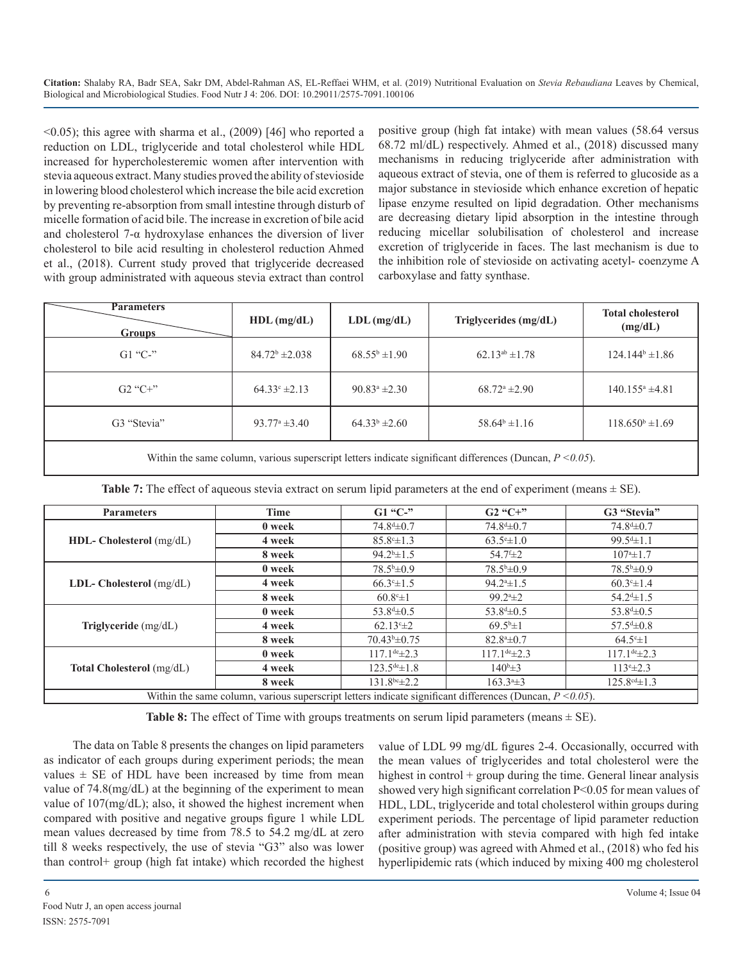$\leq$ 0.05); this agree with sharma et al., (2009) [46] who reported a reduction on LDL, triglyceride and total cholesterol while HDL increased for hypercholesteremic women after intervention with stevia aqueous extract. Many studies proved the ability of stevioside in lowering blood cholesterol which increase the bile acid excretion by preventing re-absorption from small intestine through disturb of micelle formation of acid bile. The increase in excretion of bile acid and cholesterol 7- $\alpha$  hydroxylase enhances the diversion of liver cholesterol to bile acid resulting in cholesterol reduction Ahmed et al., (2018). Current study proved that triglyceride decreased with group administrated with aqueous stevia extract than control

positive group (high fat intake) with mean values (58.64 versus 68.72 ml/dL) respectively. Ahmed et al., (2018) discussed many mechanisms in reducing triglyceride after administration with aqueous extract of stevia, one of them is referred to glucoside as a major substance in stevioside which enhance excretion of hepatic lipase enzyme resulted on lipid degradation. Other mechanisms are decreasing dietary lipid absorption in the intestine through reducing micellar solubilisation of cholesterol and increase excretion of triglyceride in faces. The last mechanism is due to the inhibition role of stevioside on activating acetyl- coenzyme A carboxylase and fatty synthase.

| <b>Parameters</b><br><b>Groups</b> | $HDL$ (mg/dL)                    | $LDL$ (mg/dL)          | Triglycerides (mg/dL)    | <b>Total cholesterol</b><br>(mg/dL) |
|------------------------------------|----------------------------------|------------------------|--------------------------|-------------------------------------|
| $G1$ "C-"                          | $84.72^b \pm 2.038$              | $68.55^{\rm b}$ ± 1.90 | $62.13^{ab} \pm 1.78$    | $124.144^b \pm 1.86$                |
| $G2''C+$ "                         | $64.33^{\circ} \pm 2.13$         | $90.83^a \pm 2.30$     | $68.72^{\circ}$ ±2.90    | $140.155^{\circ}$ ±4.81             |
| G3 "Stevia"                        | $93.77^{\circ} \pm 3.40^{\circ}$ | $64.33b \pm 2.60$      | $58.64^{\circ} \pm 1.16$ | $118.650^b \pm 1.69$                |
|                                    |                                  |                        |                          |                                     |

Within the same column, various superscript letters indicate significant differences (Duncan, *P <0.05*).

| <b>Parameters</b>                                                                                             | Time   | $G1$ "C-"                  | $G2$ "C+"                   | G3 "Stevia"                     |  |
|---------------------------------------------------------------------------------------------------------------|--------|----------------------------|-----------------------------|---------------------------------|--|
|                                                                                                               | 0 week | $74.8^{\text{d}}\pm 0.7$   | $74.8^{\text{d}}\pm 0.7$    | $74.8^{\text{d}}\pm 0.7$        |  |
| HDL- Cholesterol (mg/dL)                                                                                      | 4 week | $85.8^{\circ} \pm 1.3$     | $63.5^{\circ}$ ± 1.0        | $99.5^{\text{d}} \pm 1.1$       |  |
|                                                                                                               | 8 week | $94.2^{\rm b} \pm 1.5$     | $54.7 f_{\pm 2}$            | $107^{\circ}$ ± 1.7             |  |
|                                                                                                               | 0 week | $78.5^{\rm b} \pm 0.9$     | $78.5^{\rm b} \pm 0.9$      | $78.5^{\rm b}\pm0.9$            |  |
| LDL- Cholesterol $(mg/dL)$                                                                                    | 4 week | $66.3^{\circ} \pm 1.5$     | $94.24 \pm 1.5$             | $60.3^{\circ}$ ± 1.4            |  |
|                                                                                                               | 8 week | $60.8^{\circ}$ ±1          | $99.24 \pm 2$               | $54.24 \pm 1.5$                 |  |
| Triglyceride (mg/dL)                                                                                          | 0 week | $53.8^{\text{d}}\pm 0.5$   | 53.8 <sup>d</sup> $\pm$ 0.5 | 53.8 <sup>d</sup> $\pm$ 0.5     |  |
|                                                                                                               | 4 week | $62.13^{\circ} \pm 2$      | $69.5^{\circ}$ ±1           | $57.54 \pm 0.8$                 |  |
|                                                                                                               | 8 week | $70.43b\pm 0.75$           | $82.8^{\circ} \pm 0.7$      | $64.5^{\circ}$ ±1               |  |
| <b>Total Cholesterol</b> (mg/dL)                                                                              | 0 week | $117.1^{\text{de}}\pm 2.3$ | $117.1^{\text{de}}\pm 2.3$  | $117.1$ <sup>de</sup> $\pm$ 2.3 |  |
|                                                                                                               | 4 week | $123.5^{\text{de}}\pm 1.8$ | $140^b \pm 3$               | $113^{\circ} \pm 2.3$           |  |
|                                                                                                               | 8 week | $131.8^{bc} \pm 2.2$       | $163.34 \pm 3$              | $125.8^{\text{cd}} \pm 1.3$     |  |
| Within the same column, various superscript letters indicate significant differences (Duncan, $P \le 0.05$ ). |        |                            |                             |                                 |  |

**Table 7:** The effect of aqueous stevia extract on serum lipid parameters at the end of experiment (means  $\pm$  SE).

**Table 8:** The effect of Time with groups treatments on serum lipid parameters (means  $\pm$  SE).

The data on Table 8 presents the changes on lipid parameters as indicator of each groups during experiment periods; the mean values  $\pm$  SE of HDL have been increased by time from mean value of 74.8(mg/dL) at the beginning of the experiment to mean value of 107(mg/dL); also, it showed the highest increment when compared with positive and negative groups figure 1 while LDL mean values decreased by time from 78.5 to 54.2 mg/dL at zero till 8 weeks respectively, the use of stevia "G3" also was lower than control+ group (high fat intake) which recorded the highest

value of LDL 99 mg/dL figures 2-4. Occasionally, occurred with the mean values of triglycerides and total cholesterol were the highest in control + group during the time. General linear analysis showed very high significant correlation P<0.05 for mean values of HDL, LDL, triglyceride and total cholesterol within groups during experiment periods. The percentage of lipid parameter reduction after administration with stevia compared with high fed intake (positive group) was agreed with Ahmed et al., (2018) who fed his hyperlipidemic rats (which induced by mixing 400 mg cholesterol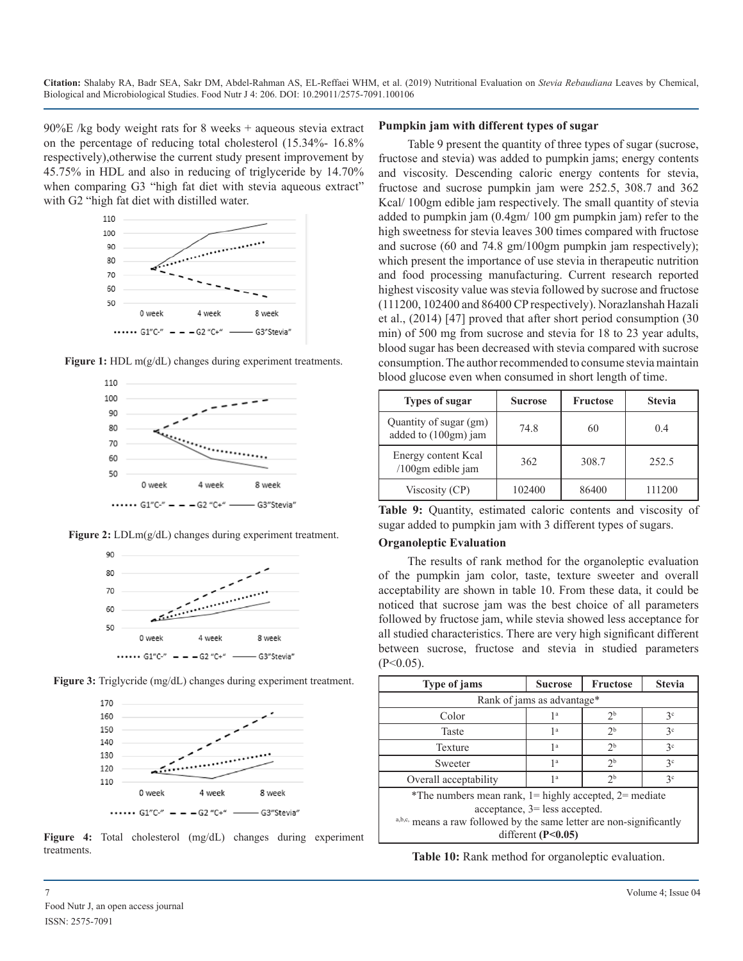90%E /kg body weight rats for 8 weeks + aqueous stevia extract on the percentage of reducing total cholesterol (15.34%- 16.8% respectively),otherwise the current study present improvement by 45.75% in HDL and also in reducing of triglyceride by 14.70% when comparing G3 "high fat diet with stevia aqueous extract" with G2 "high fat diet with distilled water.















#### **Figure 4:** Total cholesterol (mg/dL) changes during experiment treatments.

## **Pumpkin jam with different types of sugar**

Table 9 present the quantity of three types of sugar (sucrose, fructose and stevia) was added to pumpkin jams; energy contents and viscosity. Descending caloric energy contents for stevia, fructose and sucrose pumpkin jam were 252.5, 308.7 and 362 Kcal/ 100gm edible jam respectively. The small quantity of stevia added to pumpkin jam (0.4gm/ 100 gm pumpkin jam) refer to the high sweetness for stevia leaves 300 times compared with fructose and sucrose (60 and 74.8 gm/100gm pumpkin jam respectively); which present the importance of use stevia in therapeutic nutrition and food processing manufacturing. Current research reported highest viscosity value was stevia followed by sucrose and fructose (111200, 102400 and 86400 CP respectively). Norazlanshah Hazali et al., (2014) [47] proved that after short period consumption (30 min) of 500 mg from sucrose and stevia for 18 to 23 year adults, blood sugar has been decreased with stevia compared with sucrose consumption. The author recommended to consume stevia maintain blood glucose even when consumed in short length of time.

| <b>Types of sugar</b>                          | <b>Sucrose</b> | <b>Fructose</b> | <b>Stevia</b> |
|------------------------------------------------|----------------|-----------------|---------------|
| Quantity of sugar (gm)<br>added to (100gm) jam | 74 8           | 60              | 0.4           |
| Energy content Kcal<br>/100gm edible jam       | 362            | 308.7           | 252.5         |
| Viscosity (CP)                                 | 102400         | 86400           | 111200        |

**Table 9:** Quantity, estimated caloric contents and viscosity of sugar added to pumpkin jam with 3 different types of sugars.

#### **Organoleptic Evaluation**

The results of rank method for the organoleptic evaluation of the pumpkin jam color, taste, texture sweeter and overall acceptability are shown in table 10. From these data, it could be noticed that sucrose jam was the best choice of all parameters followed by fructose jam, while stevia showed less acceptance for all studied characteristics. There are very high significant different between sucrose, fructose and stevia in studied parameters  $(P<0.05)$ .

| Type of jams                                                                                     | <b>Sucrose</b>       | <b>Fructose</b> | <b>Stevia</b> |  |  |  |
|--------------------------------------------------------------------------------------------------|----------------------|-----------------|---------------|--|--|--|
| Rank of jams as advantage*                                                                       |                      |                 |               |  |  |  |
| Color                                                                                            | 1 a                  | 2 <sup>b</sup>  | 3c            |  |  |  |
| Taste                                                                                            | 1 <sup>a</sup>       | 2 <sup>b</sup>  | 3c            |  |  |  |
| Texture                                                                                          | 1 <sup>a</sup>       | 2 <sup>b</sup>  | 3c            |  |  |  |
| Sweeter                                                                                          | 1 <sup>a</sup>       | 2 <sup>b</sup>  | 3c            |  |  |  |
| Overall acceptability                                                                            | 1 <sup>a</sup>       | 2 <sup>b</sup>  | 3c            |  |  |  |
| *The numbers mean rank, $1 =$ highly accepted, $2 =$ mediate<br>$acceptance, 3 = less accepted.$ |                      |                 |               |  |  |  |
| a,b,c, means a raw followed by the same letter are non-significantly                             |                      |                 |               |  |  |  |
|                                                                                                  | different $(P<0.05)$ |                 |               |  |  |  |

**Table 10:** Rank method for organoleptic evaluation.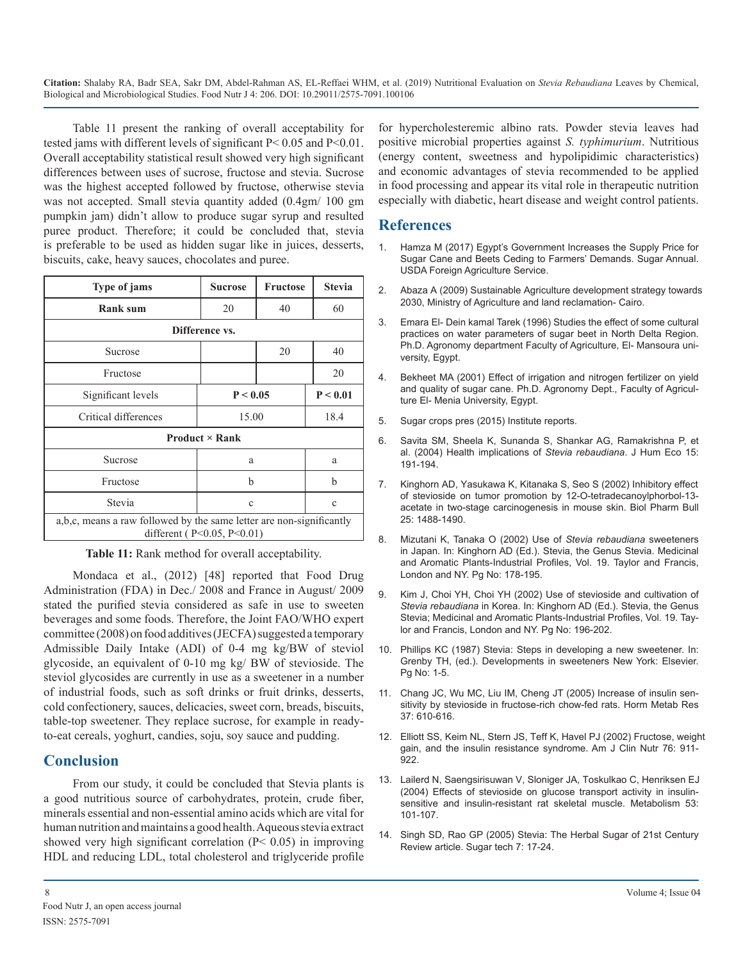Table 11 present the ranking of overall acceptability for tested jams with different levels of significant P< 0.05 and P<0.01. Overall acceptability statistical result showed very high significant differences between uses of sucrose, fructose and stevia. Sucrose was the highest accepted followed by fructose, otherwise stevia was not accepted. Small stevia quantity added (0.4gm/ 100 gm pumpkin jam) didn't allow to produce sugar syrup and resulted puree product. Therefore; it could be concluded that, stevia is preferable to be used as hidden sugar like in juices, desserts, biscuits, cake, heavy sauces, chocolates and puree.

| Type of jams                                                                                              | <b>Sucrose</b> | <b>Fructose</b> | <b>Stevia</b> |  |  |
|-----------------------------------------------------------------------------------------------------------|----------------|-----------------|---------------|--|--|
| <b>Rank sum</b>                                                                                           | 20             | 40              | 60            |  |  |
|                                                                                                           | Difference vs. |                 |               |  |  |
| Sucrose                                                                                                   |                | 20              | 40            |  |  |
| Fructose                                                                                                  |                |                 | 20            |  |  |
| Significant levels                                                                                        | P < 0.05       |                 | P < 0.01      |  |  |
| Critical differences                                                                                      | 15.00          |                 | 18.4          |  |  |
| <b>Product</b> $\times$ Rank                                                                              |                |                 |               |  |  |
| Sucrose                                                                                                   | a              |                 | a             |  |  |
| Fructose                                                                                                  | h              |                 | b             |  |  |
| Stevia                                                                                                    | $\mathbf c$    |                 | $\mathbf c$   |  |  |
| a,b,c, means a raw followed by the same letter are non-significantly<br>different ( $P<0.05$ , $P<0.01$ ) |                |                 |               |  |  |

**Table 11:** Rank method for overall acceptability.

Mondaca et al., (2012) [48] reported that Food Drug Administration (FDA) in Dec./ 2008 and France in August/ 2009 stated the purified stevia considered as safe in use to sweeten beverages and some foods. Therefore, the Joint FAO/WHO expert committee (2008) on food additives (JECFA) suggested a temporary Admissible Daily Intake (ADI) of 0-4 mg kg/BW of steviol glycoside, an equivalent of 0-10 mg kg/ BW of stevioside. The steviol glycosides are currently in use as a sweetener in a number of industrial foods, such as soft drinks or fruit drinks, desserts, cold confectionery, sauces, delicacies, sweet corn, breads, biscuits, table-top sweetener. They replace sucrose, for example in readyto-eat cereals, yoghurt, candies, soju, soy sauce and pudding.

## **Conclusion**

From our study, it could be concluded that Stevia plants is a good nutritious source of carbohydrates, protein, crude fiber, minerals essential and non-essential amino acids which are vital for human nutrition and maintains a good health. Aqueous stevia extract showed very high significant correlation  $(P< 0.05)$  in improving HDL and reducing LDL, total cholesterol and triglyceride profile for hypercholesteremic albino rats. Powder stevia leaves had positive microbial properties against *S. typhimurium*. Nutritious (energy content, sweetness and hypolipidimic characteristics) and economic advantages of stevia recommended to be applied in food processing and appear its vital role in therapeutic nutrition especially with diabetic, heart disease and weight control patients.

## **References**

- 1. [Hamza M \(2017\) Egypt's Government Increases the Supply Price for](https://gain.fas.usda.gov/Recent GAIN Publications/Sugar Annual_Cairo_Egypt_4-18-2017.pdf)  Sugar Cane and Beets Ceding to Farmers' Demands. Sugar Annual. [USDA Foreign Agriculture Service.](https://gain.fas.usda.gov/Recent GAIN Publications/Sugar Annual_Cairo_Egypt_4-18-2017.pdf)
- 2. [Abaza A \(2009\) Sustainable Agriculture development strategy towards](http://extwprlegs1.fao.org/docs/pdf/egy141040E.pdf)  2030, Ministry of Agriculture and land reclamation- Cairo.
- 3. Emara El- Dein kamal Tarek (1996) Studies the effect of some cultural practices on water parameters of sugar beet in North Delta Region. Ph.D. Agronomy department Faculty of Agriculture, El- Mansoura university, Egypt.
- 4. Bekheet MA (2001) Effect of irrigation and nitrogen fertilizer on yield and quality of sugar cane. Ph.D. Agronomy Dept., Faculty of Agriculture El- Menia University, Egypt.
- 5. Sugar crops pres (2015) Institute reports.
- 6. [Savita SM, Sheela K, Sunanda S, Shankar AG, Ramakrishna P, et](https://www.tandfonline.com/doi/abs/10.1080/09709274.2004.11905691)  al. (2004) Health implications of *Stevia rebaudiana*. J Hum Eco 15[:](https://www.tandfonline.com/doi/abs/10.1080/09709274.2004.11905691)  [191-194.](https://www.tandfonline.com/doi/abs/10.1080/09709274.2004.11905691)
- 7. [Kinghorn AD, Yasukawa K, Kitanaka S, Seo S \(2002\) Inhibitory effect](https://www.ncbi.nlm.nih.gov/pubmed/12419967)  of stevioside on tumor promotion by 12-O-tetradecanoylphorbol-13 [acetate in two-stage carcinogenesis in mouse skin. Biol Pharm Bull](https://www.ncbi.nlm.nih.gov/pubmed/12419967)  [25: 1488-1490.](https://www.ncbi.nlm.nih.gov/pubmed/12419967)
- 8. Mizutani K, Tanaka O (2002) Use of *Stevia rebaudiana* sweeteners in Japan. In: Kinghorn AD (Ed.). Stevia, the Genus Stevia. Medicinal and Aromatic Plants-Industrial Profiles, Vol. 19. Taylor and Francis, London and NY. Pg No: 178-195.
- 9. Kim J, Choi YH, Choi YH (2002) Use of stevioside and cultivation of *Stevia rebaudiana* in Korea. In: Kinghorn AD (Ed.). Stevia, the Genus Stevia; Medicinal and Aromatic Plants-Industrial Profiles, Vol. 19. Taylor and Francis, London and NY. Pg No: 196-202.
- 10. Phillips KC (1987) Stevia: Steps in developing a new sweetener. In: Grenby TH, (ed.). Developments in sweeteners New York: Elsevier. Pg No: 1-5.
- 11. [Chang JC, Wu MC, Liu IM, Cheng JT \(2005\) Increase of insulin sen](https://www.ncbi.nlm.nih.gov/pubmed/16278783)sitivity by stevioside in fructose-rich chow-fed rats. Horm Metab Res [37: 610-616.](https://www.ncbi.nlm.nih.gov/pubmed/16278783)
- 12. [Elliott SS, Keim NL, Stern JS, Teff K, Havel PJ \(2002\) Fructose, weight](https://www.ncbi.nlm.nih.gov/pubmed/12399260)  gain, and the insulin resistance syndrome. Am J Clin Nutr 76: 911- [922.](https://www.ncbi.nlm.nih.gov/pubmed/12399260)
- 13. [Lailerd N, Saengsirisuwan V, Sloniger JA, Toskulkao C, Henriksen EJ](https://www.ncbi.nlm.nih.gov/pubmed/14681850)  (2004) Effects of stevioside on glucose transport activity in insulin[sensitive and insulin-resistant rat skeletal muscle. Metabolism 53:](https://www.ncbi.nlm.nih.gov/pubmed/14681850) [101-107.](https://www.ncbi.nlm.nih.gov/pubmed/14681850)
- 14. [Singh SD, Rao GP \(2005\) Stevia: The Herbal Sugar of 21st Century](https://link.springer.com/article/10.1007/BF02942413)  Review article. Sugar tech 7: 17-24.